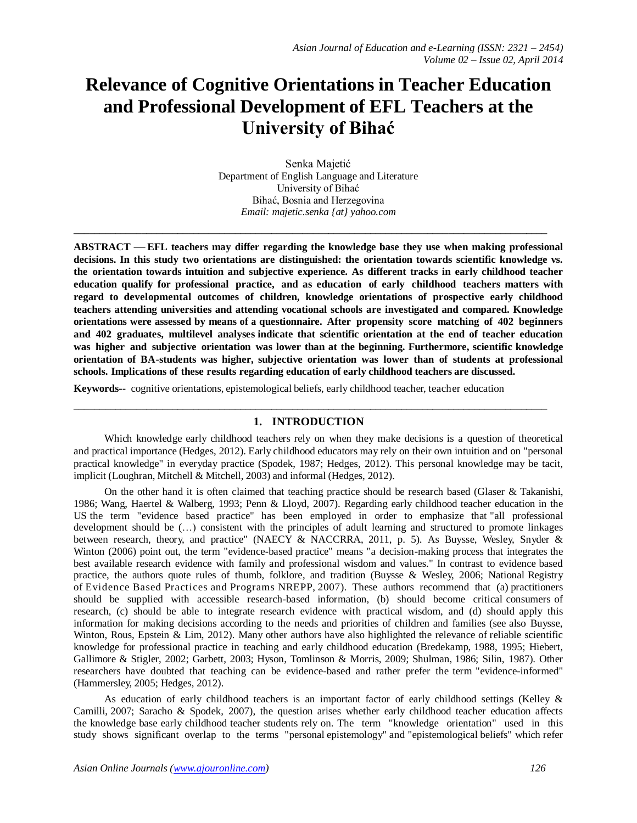# **Relevance of Cognitive Orientations in Teacher Education and Professional Development of EFL Teachers at the University of Bihać**

Senka Majetić Department of English Language and Literature University of Bihać Bihać, Bosnia and Herzegovina *Email: majetic.senka {at} yahoo.com*

**\_\_\_\_\_\_\_\_\_\_\_\_\_\_\_\_\_\_\_\_\_\_\_\_\_\_\_\_\_\_\_\_\_\_\_\_\_\_\_\_\_\_\_\_\_\_\_\_\_\_\_\_\_\_\_\_\_\_\_\_\_\_\_\_\_\_\_\_\_\_\_\_\_\_\_\_\_\_\_\_\_\_\_\_\_\_\_\_\_\_\_**

**ABSTRACT EFL teachers may differ regarding the knowledge base they use when making professional decisions. In this study two orientations are distinguished: the orientation towards scientific knowledge vs. the orientation towards intuition and subjective experience. As different tracks in early childhood teacher education qualify for professional practice, and as education of early childhood teachers matters with regard to developmental outcomes of children, knowledge orientations of prospective early childhood teachers attending universities and attending vocational schools are investigated and compared. Knowledge orientations were assessed by means of a questionnaire. After propensity score matching of 402 beginners and 402 graduates, multilevel analyses indicate that scientific orientation at the end of teacher education was higher and subjective orientation was lower than at the beginning. Furthermore, scientific knowledge orientation of BA-students was higher, subjective orientation was lower than of students at professional schools. Implications of these results regarding education of early childhood teachers are discussed.**

**Keywords--** cognitive orientations, epistemological beliefs, early childhood teacher, teacher education

# $\_$  ,  $\_$  ,  $\_$  ,  $\_$  ,  $\_$  ,  $\_$  ,  $\_$  ,  $\_$  ,  $\_$  ,  $\_$  ,  $\_$  ,  $\_$  ,  $\_$  ,  $\_$  ,  $\_$  ,  $\_$  ,  $\_$  ,  $\_$  ,  $\_$  ,  $\_$  ,  $\_$  ,  $\_$  ,  $\_$  ,  $\_$  ,  $\_$  ,  $\_$  ,  $\_$  ,  $\_$  ,  $\_$  ,  $\_$  ,  $\_$  ,  $\_$  ,  $\_$  ,  $\_$  ,  $\_$  ,  $\_$  ,  $\_$  , **1. INTRODUCTION**

Which knowledge early childhood teachers rely on when they make decisions is a question of theoretical and practical importance (Hedges, 2012). Early childhood educators may rely on their own intuition and on "personal practical knowledge" in everyday practice (Spodek, 1987; Hedges, 2012). This personal knowledge may be tacit, implicit (Loughran, Mitchell & Mitchell, 2003) and informal (Hedges, 2012).

On the other hand it is often claimed that teaching practice should be research based (Glaser & Takanishi, 1986; Wang, Haertel & Walberg, 1993; Penn & Lloyd, 2007). Regarding early childhood teacher education in the US the term "evidence based practice" has been employed in order to emphasize that "all professional development should be (…) consistent with the principles of adult learning and structured to promote linkages between research, theory, and practice" (NAECY & NACCRRA, 2011, p. 5). As Buysse, Wesley, Snyder & Winton (2006) point out, the term "evidence-based practice" means "a decision-making process that integrates the best available research evidence with family and professional wisdom and values." In contrast to evidence based practice, the authors quote rules of thumb, folklore, and tradition (Buysse & Wesley, 2006; National Registry of Evidence Based Practices and Programs NREPP, 2007). These authors recommend that (a) practitioners should be supplied with accessible research-based information, (b) should become critical consumers of research, (c) should be able to integrate research evidence with practical wisdom, and (d) should apply this information for making decisions according to the needs and priorities of children and families (see also Buysse, Winton, Rous, Epstein & Lim, 2012). Many other authors have also highlighted the relevance of reliable scientific knowledge for professional practice in teaching and early childhood education (Bredekamp, 1988, 1995; Hiebert, Gallimore & Stigler, 2002; Garbett, 2003; Hyson, Tomlinson & Morris, 2009; Shulman, 1986; Silin, 1987). Other researchers have doubted that teaching can be evidence-based and rather prefer the term "evidence-informed" (Hammersley, 2005; Hedges, 2012).

As education of early childhood teachers is an important factor of early childhood settings (Kelley & Camilli, 2007; Saracho & Spodek, 2007), the question arises whether early childhood teacher education affects the knowledge base early childhood teacher students rely on. The term "knowledge orientation" used in this study shows significant overlap to the terms "personal epistemology" and "epistemological beliefs" which refer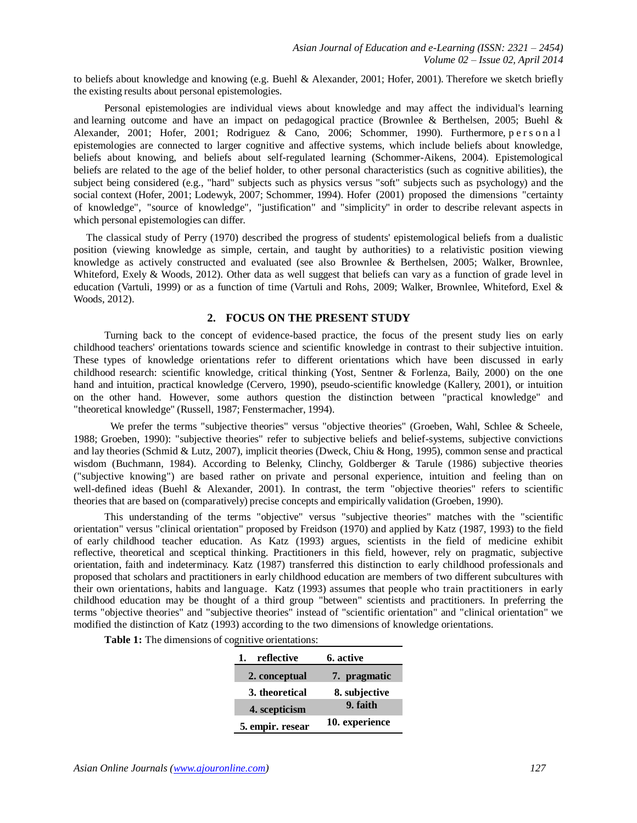to beliefs about knowledge and knowing (e.g. Buehl & Alexander, 2001; Hofer, 2001). Therefore we sketch briefly the existing results about personal epistemologies.

Personal epistemologies are individual views about knowledge and may affect the individual's learning and learning outcome and have an impact on pedagogical practice (Brownlee & Berthelsen, 2005; Buehl & Alexander, 2001; Hofer, 2001; Rodriguez & Cano, 2006; Schommer, 1990). Furthermore, p e r s o n a l epistemologies are connected to larger cognitive and affective systems, which include beliefs about knowledge, beliefs about knowing, and beliefs about self-regulated learning (Schommer-Aikens, 2004). Epistemological beliefs are related to the age of the belief holder, to other personal characteristics (such as cognitive abilities), the subject being considered (e.g., "hard" subjects such as physics versus "soft" subjects such as psychology) and the social context (Hofer, 2001; Lodewyk, 2007; Schommer, 1994). Hofer (2001) proposed the dimensions "certainty of knowledge", "source of knowledge", "justification" and "simplicity" in order to describe relevant aspects in which personal epistemologies can differ.

The classical study of Perry (1970) described the progress of students' epistemological beliefs from a dualistic position (viewing knowledge as simple, certain, and taught by authorities) to a relativistic position viewing knowledge as actively constructed and evaluated (see also Brownlee & Berthelsen, 2005; Walker, Brownlee, Whiteford, Exely & Woods, 2012). Other data as well suggest that beliefs can vary as a function of grade level in education (Vartuli, 1999) or as a function of time (Vartuli and Rohs, 2009; Walker, Brownlee, Whiteford, Exel & Woods, 2012).

## **2. FOCUS ON THE PRESENT STUDY**

Turning back to the concept of evidence-based practice, the focus of the present study lies on early childhood teachers' orientations towards science and scientific knowledge in contrast to their subjective intuition. These types of knowledge orientations refer to different orientations which have been discussed in early childhood research: scientific knowledge, critical thinking (Yost, Sentner & Forlenza, Baily, 2000) on the one hand and intuition, practical knowledge (Cervero, 1990), pseudo-scientific knowledge (Kallery, 2001), or intuition on the other hand. However, some authors question the distinction between "practical knowledge" and "theoretical knowledge" (Russell, 1987; Fenstermacher, 1994).

We prefer the terms "subjective theories" versus "objective theories" (Groeben, Wahl, Schlee & Scheele, 1988; Groeben, 1990): "subjective theories" refer to subjective beliefs and belief-systems, subjective convictions and lay theories (Schmid & Lutz, 2007), implicit theories (Dweck, Chiu & Hong, 1995), common sense and practical wisdom (Buchmann, 1984). According to Belenky, Clinchy, Goldberger & Tarule (1986) subjective theories ("subjective knowing") are based rather on private and personal experience, intuition and feeling than on well-defined ideas (Buehl & Alexander, 2001). In contrast, the term "objective theories" refers to scientific theories that are based on (comparatively) precise concepts and empirically validation (Groeben, 1990).

This understanding of the terms "objective" versus "subjective theories" matches with the "scientific orientation" versus "clinical orientation" proposed by Freidson (1970) and applied by Katz (1987, 1993) to the field of early childhood teacher education. As Katz (1993) argues, scientists in the field of medicine exhibit reflective, theoretical and sceptical thinking. Practitioners in this field, however, rely on pragmatic, subjective orientation, faith and indeterminacy. Katz (1987) transferred this distinction to early childhood professionals and proposed that scholars and practitioners in early childhood education are members of two different subcultures with their own orientations, habits and language. Katz (1993) assumes that people who train practitioners in early childhood education may be thought of a third group "between" scientists and practitioners. In preferring the terms "objective theories" and "subjective theories" instead of "scientific orientation" and "clinical orientation" we modified the distinction of Katz (1993) according to the two dimensions of knowledge orientations.

|  |  |  |  | Table 1: The dimensions of cognitive orientations: |
|--|--|--|--|----------------------------------------------------|
|--|--|--|--|----------------------------------------------------|

| reflective<br>1. | 6. active      |  |
|------------------|----------------|--|
| 2. conceptual    | 7. pragmatic   |  |
| 3. theoretical   | 8. subjective  |  |
| 4. scepticism    | 9. faith       |  |
| 5. empir. resear | 10. experience |  |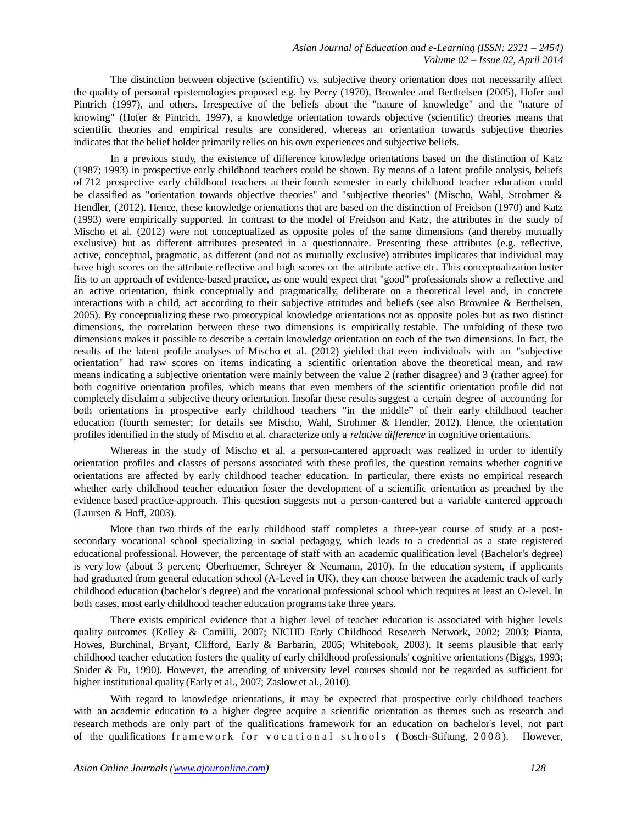The distinction between objective (scientific) vs. subjective theory orientation does not necessarily affect the quality of personal epistemologies proposed e.g. by Perry (1970), Brownlee and Berthelsen (2005), Hofer and Pintrich (1997), and others. Irrespective of the beliefs about the "nature of knowledge" and the "nature of knowing" (Hofer & Pintrich, 1997), a knowledge orientation towards objective (scientific) theories means that scientific theories and empirical results are considered, whereas an orientation towards subjective theories indicates that the belief holder primarily relies on his own experiences and subjective beliefs.

In a previous study, the existence of difference knowledge orientations based on the distinction of Katz (1987; 1993) in prospective early childhood teachers could be shown. By means of a latent profile analysis, beliefs of 712 prospective early childhood teachers at their fourth semester in early childhood teacher education could be classified as "orientation towards objective theories" and "subjective theories" (Mischo, Wahl, Strohmer & Hendler, (2012). Hence, these knowledge orientations that are based on the distinction of Freidson (1970) and Katz (1993) were empirically supported. In contrast to the model of Freidson and Katz, the attributes in the study of Mischo et al. (2012) were not conceptualized as opposite poles of the same dimensions (and thereby mutually exclusive) but as different attributes presented in a questionnaire. Presenting these attributes (e.g. reflective, active, conceptual, pragmatic, as different (and not as mutually exclusive) attributes implicates that individual may have high scores on the attribute reflective and high scores on the attribute active etc. This conceptualization better fits to an approach of evidence-based practice, as one would expect that "good" professionals show a reflective and an active orientation, think conceptually and pragmatically, deliberate on a theoretical level and, in concrete interactions with a child, act according to their subjective attitudes and beliefs (see also Brownlee & Berthelsen, 2005). By conceptualizing these two prototypical knowledge orientations not as opposite poles but as two distinct dimensions, the correlation between these two dimensions is empirically testable. The unfolding of these two dimensions makes it possible to describe a certain knowledge orientation on each of the two dimensions. In fact, the results of the latent profile analyses of Mischo et al. (2012) yielded that even individuals with an "subjective orientation" had raw scores on items indicating a scientific orientation above the theoretical mean, and raw means indicating a subjective orientation were mainly between the value 2 (rather disagree) and 3 (rather agree) for both cognitive orientation profiles, which means that even members of the scientific orientation profile did not completely disclaim a subjective theory orientation. Insofar these results suggest a certain degree of accounting for both orientations in prospective early childhood teachers "in the middle" of their early childhood teacher education (fourth semester; for details see Mischo, Wahl, Strohmer & Hendler, 2012). Hence, the orientation profiles identified in the study of Mischo et al. characterize only a *relative difference* in cognitive orientations.

Whereas in the study of Mischo et al. a person-cantered approach was realized in order to identify orientation profiles and classes of persons associated with these profiles, the question remains whether cognitive orientations are affected by early childhood teacher education. In particular, there exists no empirical research whether early childhood teacher education foster the development of a scientific orientation as preached by the evidence based practice-approach. This question suggests not a person-cantered but a variable cantered approach (Laursen & Hoff, 2003).

More than two thirds of the early childhood staff completes a three-year course of study at a postsecondary vocational school specializing in social pedagogy, which leads to a credential as a state registered educational professional. However, the percentage of staff with an academic qualification level (Bachelor's degree) is very low (about 3 percent; Oberhuemer, Schreyer & Neumann, 2010). In the education system, if applicants had graduated from general education school (A-Level in UK), they can choose between the academic track of early childhood education (bachelor's degree) and the vocational professional school which requires at least an O-level. In both cases, most early childhood teacher education programs take three years.

There exists empirical evidence that a higher level of teacher education is associated with higher levels quality outcomes (Kelley & Camilli, 2007; NICHD Early Childhood Research Network, 2002; 2003; Pianta, Howes, Burchinal, Bryant, Clifford, Early & Barbarin, 2005; Whitebook, 2003). It seems plausible that early childhood teacher education fosters the quality of early childhood professionals' cognitive orientations (Biggs, 1993; Snider & Fu, 1990). However, the attending of university level courses should not be regarded as sufficient for higher institutional quality (Early et al., 2007; Zaslow et al., 2010).

With regard to knowledge orientations, it may be expected that prospective early childhood teachers with an academic education to a higher degree acquire a scientific orientation as themes such as research and research methods are only part of the qualifications framework for an education on bachelor's level, not part of the qualifications framework for vocational schools (Bosch-Stiftung, 2008). However,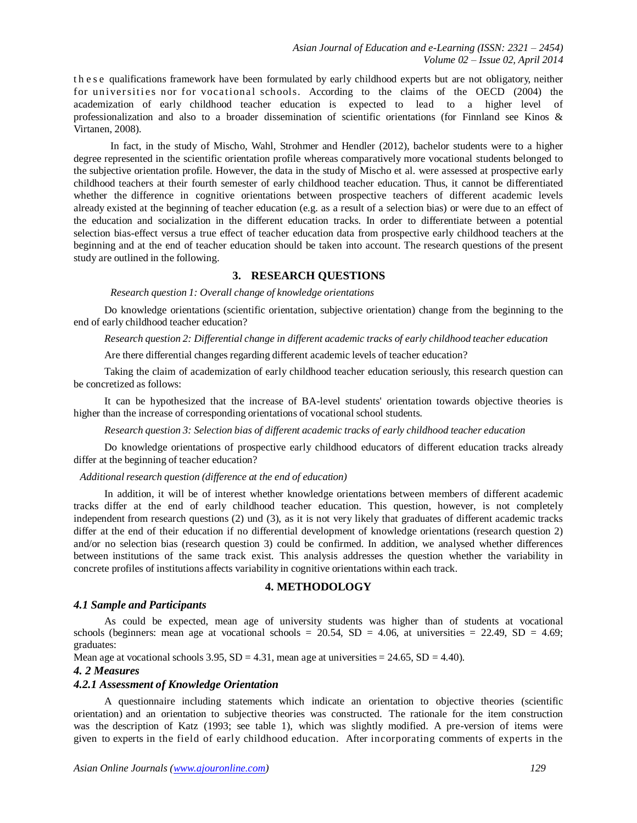t h e s e qualifications framework have been formulated by early childhood experts but are not obligatory, neither for universities nor for vocational schools. According to the claims of the OECD (2004) the academization of early childhood teacher education is expected to lead to a higher level of professionalization and also to a broader dissemination of scientific orientations (for Finnland see Kinos & Virtanen, 2008).

In fact, in the study of Mischo, Wahl, Strohmer and Hendler (2012), bachelor students were to a higher degree represented in the scientific orientation profile whereas comparatively more vocational students belonged to the subjective orientation profile. However, the data in the study of Mischo et al. were assessed at prospective early childhood teachers at their fourth semester of early childhood teacher education. Thus, it cannot be differentiated whether the difference in cognitive orientations between prospective teachers of different academic levels already existed at the beginning of teacher education (e.g. as a result of a selection bias) or were due to an effect of the education and socialization in the different education tracks. In order to differentiate between a potential selection bias-effect versus a true effect of teacher education data from prospective early childhood teachers at the beginning and at the end of teacher education should be taken into account. The research questions of the present study are outlined in the following.

# **3. RESEARCH QUESTIONS**

#### *Research question 1: Overall change of knowledge orientations*

Do knowledge orientations (scientific orientation, subjective orientation) change from the beginning to the end of early childhood teacher education?

*Research question 2: Differential change in different academic tracks of early childhood teacher education*

Are there differential changes regarding different academic levels of teacher education?

Taking the claim of academization of early childhood teacher education seriously, this research question can be concretized as follows:

It can be hypothesized that the increase of BA-level students' orientation towards objective theories is higher than the increase of corresponding orientations of vocational school students.

*Research question 3: Selection bias of different academic tracks of early childhood teacher education*

Do knowledge orientations of prospective early childhood educators of different education tracks already differ at the beginning of teacher education?

#### *Additional research question (difference at the end of education)*

In addition, it will be of interest whether knowledge orientations between members of different academic tracks differ at the end of early childhood teacher education. This question, however, is not completely independent from research questions (2) und (3), as it is not very likely that graduates of different academic tracks differ at the end of their education if no differential development of knowledge orientations (research question 2) and/or no selection bias (research question 3) could be confirmed. In addition, we analysed whether differences between institutions of the same track exist. This analysis addresses the question whether the variability in concrete profiles of institutions affects variability in cognitive orientations within each track.

#### **4. METHODOLOGY**

#### *4.1 Sample and Participants*

As could be expected, mean age of university students was higher than of students at vocational schools (beginners: mean age at vocational schools = 20.54, SD = 4.06, at universities = 22.49, SD = 4.69; graduates:

Mean age at vocational schools  $3.95$ ,  $SD = 4.31$ , mean age at universities  $= 24.65$ ,  $SD = 4.40$ ).

#### *4. 2 Measures*

#### *4.2.1 Assessment of Knowledge Orientation*

A questionnaire including statements which indicate an orientation to objective theories (scientific orientation) and an orientation to subjective theories was constructed. The rationale for the item construction was the description of Katz (1993; see table 1), which was slightly modified. A pre-version of items were given to experts in the field of early childhood education. After incorporating comments of experts in the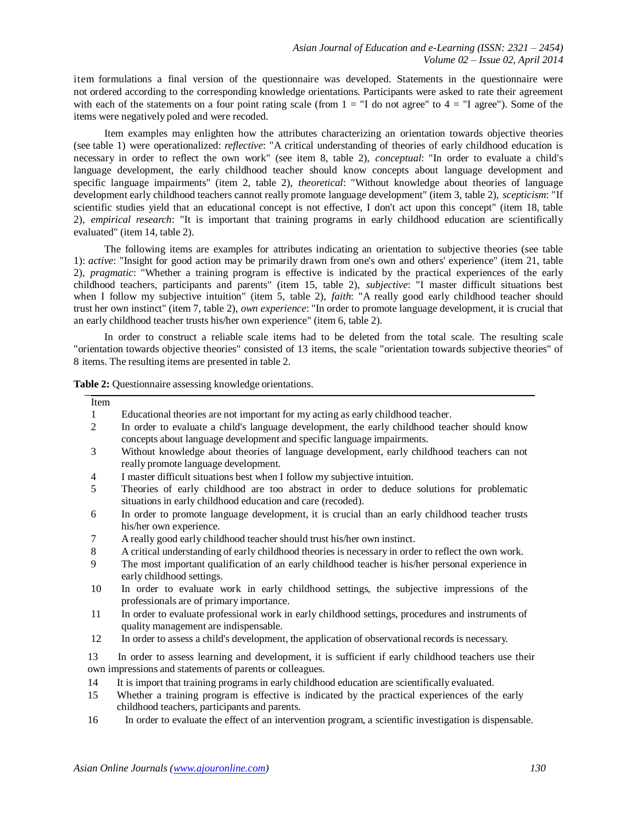item formulations a final version of the questionnaire was developed. Statements in the questionnaire were not ordered according to the corresponding knowledge orientations. Participants were asked to rate their agreement with each of the statements on a four point rating scale (from  $1 = "I$  do not agree" to  $4 = "I$  agree"). Some of the items were negatively poled and were recoded.

Item examples may enlighten how the attributes characterizing an orientation towards objective theories (see table 1) were operationalized: *reflective*: "A critical understanding of theories of early childhood education is necessary in order to reflect the own work" (see item 8, table 2), *conceptual*: "In order to evaluate a child's language development, the early childhood teacher should know concepts about language development and specific language impairments" (item 2, table 2), *theoretical*: "Without knowledge about theories of language development early childhood teachers cannot really promote language development" (item 3, table 2), *scepticism*: "If scientific studies yield that an educational concept is not effective, I don't act upon this concept" (item 18, table 2), *empirical research*: "It is important that training programs in early childhood education are scientifically evaluated" (item 14, table 2).

The following items are examples for attributes indicating an orientation to subjective theories (see table 1): *active*: "Insight for good action may be primarily drawn from one's own and others' experience" (item 21, table 2), *pragmatic*: "Whether a training program is effective is indicated by the practical experiences of the early childhood teachers, participants and parents" (item 15, table 2), *subjective*: "I master difficult situations best when I follow my subjective intuition" (item 5, table 2), *faith*: "A really good early childhood teacher should trust her own instinct" (item 7, table 2), *own experience*: "In order to promote language development, it is crucial that an early childhood teacher trusts his/her own experience" (item 6, table 2).

In order to construct a reliable scale items had to be deleted from the total scale. The resulting scale "orientation towards objective theories" consisted of 13 items, the scale "orientation towards subjective theories" of 8 items. The resulting items are presented in table 2.

**Table 2:** Ouestionnaire assessing knowledge orientations.

| Item           |                                                                                                                                                                        |
|----------------|------------------------------------------------------------------------------------------------------------------------------------------------------------------------|
| 1              | Educational theories are not important for my acting as early childhood teacher.                                                                                       |
| 2              | In order to evaluate a child's language development, the early childhood teacher should know<br>concepts about language development and specific language impairments. |
| 3              | Without knowledge about theories of language development, early childhood teachers can not<br>really promote language development.                                     |
| $\overline{4}$ | I master difficult situations best when I follow my subjective intuition.                                                                                              |
| 5              | Theories of early childhood are too abstract in order to deduce solutions for problematic<br>situations in early childhood education and care (recoded).               |
| 6              | In order to promote language development, it is crucial than an early childhood teacher trusts<br>his/her own experience.                                              |
| 7              | A really good early childhood teacher should trust his/her own instinct.                                                                                               |
| $\,8\,$        | A critical understanding of early childhood theories is necessary in order to reflect the own work.                                                                    |
| 9              | The most important qualification of an early childhood teacher is his/her personal experience in<br>early childhood settings.                                          |
| 10             | In order to evaluate work in early childhood settings, the subjective impressions of the<br>professionals are of primary importance.                                   |
| 11             | In order to evaluate professional work in early childhood settings, procedures and instruments of<br>quality management are indispensable.                             |
| 12             | In order to assess a child's development, the application of observational records is necessary.                                                                       |
| 13             | In order to assess learning and development, it is sufficient if early childhood teachers use their                                                                    |
|                | own impressions and statements of parents or colleagues.                                                                                                               |
| 14             | It is import that training programs in early childhood education are scientifically evaluated.                                                                         |
| 15             | Whether a training program is effective is indicated by the practical experiences of the early<br>childhood teachers, participants and parents.                        |
| 16             | In order to evaluate the effect of an intervention program, a scientific investigation is dispensable.                                                                 |
|                |                                                                                                                                                                        |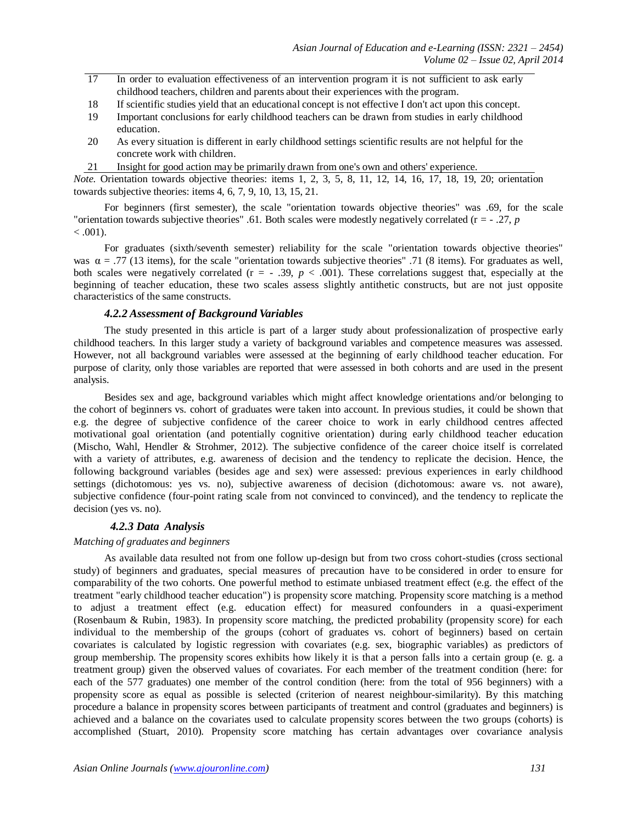- 17 In order to evaluation effectiveness of an intervention program it is not sufficient to ask early childhood teachers, children and parents about their experiences with the program.
- 18 If scientific studies yield that an educational concept is not effective I don't act upon this concept.
- 19 Important conclusions for early childhood teachers can be drawn from studies in early childhood education.
- 20 As every situation is different in early childhood settings scientific results are not helpful for the concrete work with children.
- 21 Insight for good action may be primarily drawn from one's own and others' experience.

*Note.* Orientation towards objective theories: items 1, 2, 3, 5, 8, 11, 12, 14, 16, 17, 18, 19, 20; orientation towards subjective theories: items 4, 6, 7, 9, 10, 13, 15, 21.

For beginners (first semester), the scale "orientation towards objective theories" was .69, for the scale "orientation towards subjective theories" .61. Both scales were modestly negatively correlated (r = - .27, *p*  $< .001$ ).

For graduates (sixth/seventh semester) reliability for the scale "orientation towards objective theories" was  $\alpha = .77$  (13 items), for the scale "orientation towards subjective theories" .71 (8 items). For graduates as well, both scales were negatively correlated  $(r = -0.39, p < 0.001)$ . These correlations suggest that, especially at the beginning of teacher education, these two scales assess slightly antithetic constructs, but are not just opposite characteristics of the same constructs.

## *4.2.2 Assessment of Background Variables*

The study presented in this article is part of a larger study about professionalization of prospective early childhood teachers. In this larger study a variety of background variables and competence measures was assessed. However, not all background variables were assessed at the beginning of early childhood teacher education. For purpose of clarity, only those variables are reported that were assessed in both cohorts and are used in the present analysis.

Besides sex and age, background variables which might affect knowledge orientations and/or belonging to the cohort of beginners vs. cohort of graduates were taken into account. In previous studies, it could be shown that e.g. the degree of subjective confidence of the career choice to work in early childhood centres affected motivational goal orientation (and potentially cognitive orientation) during early childhood teacher education (Mischo, Wahl, Hendler & Strohmer, 2012). The subjective confidence of the career choice itself is correlated with a variety of attributes, e.g. awareness of decision and the tendency to replicate the decision. Hence, the following background variables (besides age and sex) were assessed: previous experiences in early childhood settings (dichotomous: yes vs. no), subjective awareness of decision (dichotomous: aware vs. not aware), subjective confidence (four-point rating scale from not convinced to convinced), and the tendency to replicate the decision (yes vs. no).

#### *4.2.3 Data Analysis*

#### *Matching of graduates and beginners*

As available data resulted not from one follow up-design but from two cross cohort-studies (cross sectional study) of beginners and graduates, special measures of precaution have to be considered in order to ensure for comparability of the two cohorts. One powerful method to estimate unbiased treatment effect (e.g. the effect of the treatment "early childhood teacher education") is propensity score matching. Propensity score matching is a method to adjust a treatment effect (e.g. education effect) for measured confounders in a quasi-experiment (Rosenbaum & Rubin, 1983). In propensity score matching, the predicted probability (propensity score) for each individual to the membership of the groups (cohort of graduates vs. cohort of beginners) based on certain covariates is calculated by logistic regression with covariates (e.g. sex, biographic variables) as predictors of group membership. The propensity scores exhibits how likely it is that a person falls into a certain group (e. g. a treatment group) given the observed values of covariates. For each member of the treatment condition (here: for each of the 577 graduates) one member of the control condition (here: from the total of 956 beginners) with a propensity score as equal as possible is selected (criterion of nearest neighbour-similarity). By this matching procedure a balance in propensity scores between participants of treatment and control (graduates and beginners) is achieved and a balance on the covariates used to calculate propensity scores between the two groups (cohorts) is accomplished (Stuart, 2010). Propensity score matching has certain advantages over covariance analysis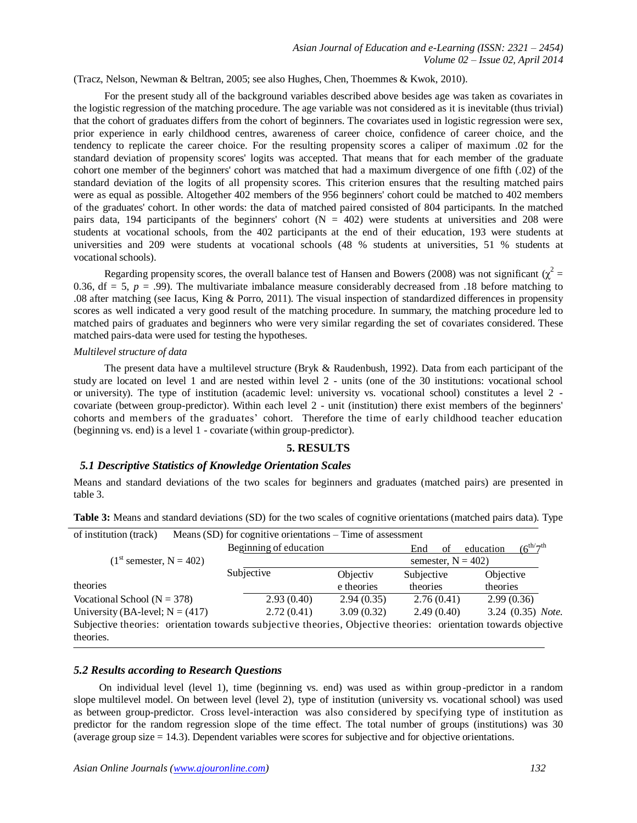(Tracz, Nelson, Newman & Beltran, 2005; see also Hughes, Chen, Thoemmes & Kwok, 2010).

For the present study all of the background variables described above besides age was taken as covariates in the logistic regression of the matching procedure. The age variable was not considered as it is inevitable (thus trivial) that the cohort of graduates differs from the cohort of beginners. The covariates used in logistic regression were sex, prior experience in early childhood centres, awareness of career choice, confidence of career choice, and the tendency to replicate the career choice. For the resulting propensity scores a caliper of maximum .02 for the standard deviation of propensity scores' logits was accepted. That means that for each member of the graduate cohort one member of the beginners' cohort was matched that had a maximum divergence of one fifth (.02) of the standard deviation of the logits of all propensity scores. This criterion ensures that the resulting matched pairs were as equal as possible. Altogether 402 members of the 956 beginners' cohort could be matched to 402 members of the graduates' cohort. In other words: the data of matched paired consisted of 804 participants. In the matched pairs data, 194 participants of the beginners' cohort  $(N = 402)$  were students at universities and 208 were students at vocational schools, from the 402 participants at the end of their education, 193 were students at universities and 209 were students at vocational schools (48 % students at universities, 51 % students at vocational schools).

Regarding propensity scores, the overall balance test of Hansen and Bowers (2008) was not significant ( $\chi^2$  = 0.36,  $df = 5$ ,  $p = .99$ ). The multivariate imbalance measure considerably decreased from .18 before matching to .08 after matching (see Iacus, King & Porro, 2011). The visual inspection of standardized differences in propensity scores as well indicated a very good result of the matching procedure. In summary, the matching procedure led to matched pairs of graduates and beginners who were very similar regarding the set of covariates considered. These matched pairs-data were used for testing the hypotheses.

#### *Multilevel structure of data*

The present data have a multilevel structure (Bryk & Raudenbush, 1992). Data from each participant of the study are located on level 1 and are nested within level 2 - units (one of the 30 institutions: vocational school or university). The type of institution (academic level: university vs. vocational school) constitutes a level 2 covariate (between group-predictor). Within each level 2 - unit (institution) there exist members of the beginners' cohorts and members of the graduates' cohort. Therefore the time of early childhood teacher education (beginning vs. end) is a level 1 - covariate (within group-predictor).

# **5. RESULTS**

#### *5.1 Descriptive Statistics of Knowledge Orientation Scales*

Means and standard deviations of the two scales for beginners and graduates (matched pairs) are presented in table 3.

| of institution (track)                                                                                          | Means $(SD)$ for cognitive orientations – Time of assessment |                     |            |                                        |
|-----------------------------------------------------------------------------------------------------------------|--------------------------------------------------------------|---------------------|------------|----------------------------------------|
|                                                                                                                 | Beginning of education                                       |                     | End<br>of  | $(6^{th/7}$ <sup>th</sup><br>education |
| $(1st$ semester, N = 402)                                                                                       |                                                              | semester, $N = 402$ |            |                                        |
|                                                                                                                 | Subjective                                                   | Objectiv            | Subjective | <i><b>Objective</b></i>                |
| theories                                                                                                        |                                                              | e theories          | theories   | theories                               |
| Vocational School ( $N = 378$ )                                                                                 | 2.93(0.40)                                                   | 2.94(0.35)          | 2.76(0.41) | 2.99(0.36)                             |
| University (BA-level; $N = (417)$ )                                                                             | 2.72(0.41)                                                   | 3.09(0.32)          | 2.49(0.40) | 3.24 (0.35) Note.                      |
| Subjective theories: orientation towards subjective theories, Objective theories: orientation towards objective |                                                              |                     |            |                                        |
| theories.                                                                                                       |                                                              |                     |            |                                        |

**Table 3:** Means and standard deviations (SD) for the two scales of cognitive orientations (matched pairs data). Type

# *5.2 Results according to Research Questions*

On individual level (level 1), time (beginning vs. end) was used as within group -predictor in a random slope multilevel model. On between level (level 2), type of institution (university vs. vocational school) was used as between group-predictor. Cross level-interaction was also considered by specifying type of institution as predictor for the random regression slope of the time effect. The total number of groups (institutions) was 30 (average group size = 14.3). Dependent variables were scores for subjective and for objective orientations.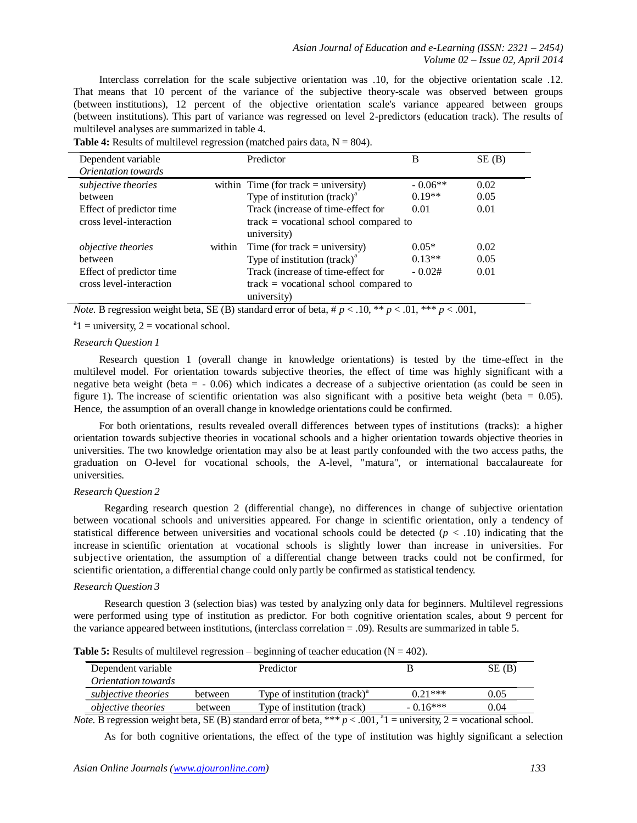Interclass correlation for the scale subjective orientation was .10, for the objective orientation scale .12. That means that 10 percent of the variance of the subjective theory-scale was observed between groups (between institutions), 12 percent of the objective orientation scale's variance appeared between groups (between institutions). This part of variance was regressed on level 2-predictors (education track). The results of multilevel analyses are summarized in table 4.

| Dependent variable        |        | Predictor                                 | B         | SE(B) |
|---------------------------|--------|-------------------------------------------|-----------|-------|
| Orientation towards       |        |                                           |           |       |
| subjective theories       |        | within Time (for track = university)      | $-0.06**$ | 0.02  |
| between                   |        | Type of institution $(rack)^a$            | $0.19**$  | 0.05  |
| Effect of predictor time  |        | Track (increase of time-effect for        | 0.01      | 0.01  |
| cross level-interaction   |        | $track = vocabational school compared to$ |           |       |
|                           |        | university)                               |           |       |
| <i>objective theories</i> | within | Time (for track = university)             | $0.05*$   | 0.02  |
| between                   |        | Type of institution $(rack)^a$            | $0.13**$  | 0.05  |
| Effect of predictor time  |        | Track (increase of time-effect for        | $-0.02#$  | 0.01  |
| cross level-interaction   |        | $track = vocabational school compared to$ |           |       |
|                           |        | university)                               |           |       |

**Table 4:** Results of multilevel regression (matched pairs data,  $N = 804$ ).

*Note.* B regression weight beta, SE (B) standard error of beta,  $\# p < .10$ , \*\* $p < .01$ , \*\*\*  $p < .001$ ,

 $a_1$  = university, 2 = vocational school.

#### *Research Question 1*

Research question 1 (overall change in knowledge orientations) is tested by the time-effect in the multilevel model. For orientation towards subjective theories, the effect of time was highly significant with a negative beta weight (beta = - 0.06) which indicates a decrease of a subjective orientation (as could be seen in figure 1). The increase of scientific orientation was also significant with a positive beta weight (beta =  $0.05$ ). Hence, the assumption of an overall change in knowledge orientations could be confirmed.

For both orientations, results revealed overall differences between types of institutions (tracks): a higher orientation towards subjective theories in vocational schools and a higher orientation towards objective theories in universities. The two knowledge orientation may also be at least partly confounded with the two access paths, the graduation on O-level for vocational schools, the A-level, "matura", or international baccalaureate for universities.

## *Research Question 2*

Regarding research question 2 (differential change), no differences in change of subjective orientation between vocational schools and universities appeared. For change in scientific orientation, only a tendency of statistical difference between universities and vocational schools could be detected  $(p < .10)$  indicating that the increase in scientific orientation at vocational schools is slightly lower than increase in universities. For subjective orientation, the assumption of a differential change between tracks could not be confirmed, for scientific orientation, a differential change could only partly be confirmed as statistical tendency.

#### *Research Question 3*

Research question 3 (selection bias) was tested by analyzing only data for beginners. Multilevel regressions were performed using type of institution as predictor. For both cognitive orientation scales, about 9 percent for the variance appeared between institutions, (interclass correlation = .09). Results are summarized in table 5.

|  |  | <b>Table 5:</b> Results of multilevel regression – beginning of teacher education ( $N = 402$ ). |
|--|--|--------------------------------------------------------------------------------------------------|
|--|--|--------------------------------------------------------------------------------------------------|

| Dependent variable         |                                                                       | Predictor                                                                                                                                             |                | SE(B) |
|----------------------------|-----------------------------------------------------------------------|-------------------------------------------------------------------------------------------------------------------------------------------------------|----------------|-------|
| <i>Orientation towards</i> |                                                                       |                                                                                                                                                       |                |       |
| subjective theories        | between                                                               | Type of institution $(rack)^a$                                                                                                                        | $0.21***$      | 0.05  |
| <i>objective theories</i>  | between                                                               | Type of institution (track)                                                                                                                           | $-0.16***$     | 0.04  |
|                            | $\mathbf{1}$ , and $\mathbf{1}$ , and $\mathbf{1}$ , and $\mathbf{1}$ | 0.0131<br>$\mathcal{L}$ and $\mathcal{L}$ and $\mathcal{L}$ and $\mathcal{L}$ and $\mathcal{L}$ and $\mathcal{L}$ and $\mathcal{L}$ and $\mathcal{L}$ | $\cdot$ $\sim$ |       |

*Note.* B regression weight beta, SE (B) standard error of beta, \*\*\*  $p < .001$ ,  $a_1$  = university, 2 = vocational school.

As for both cognitive orientations, the effect of the type of institution was highly significant a selection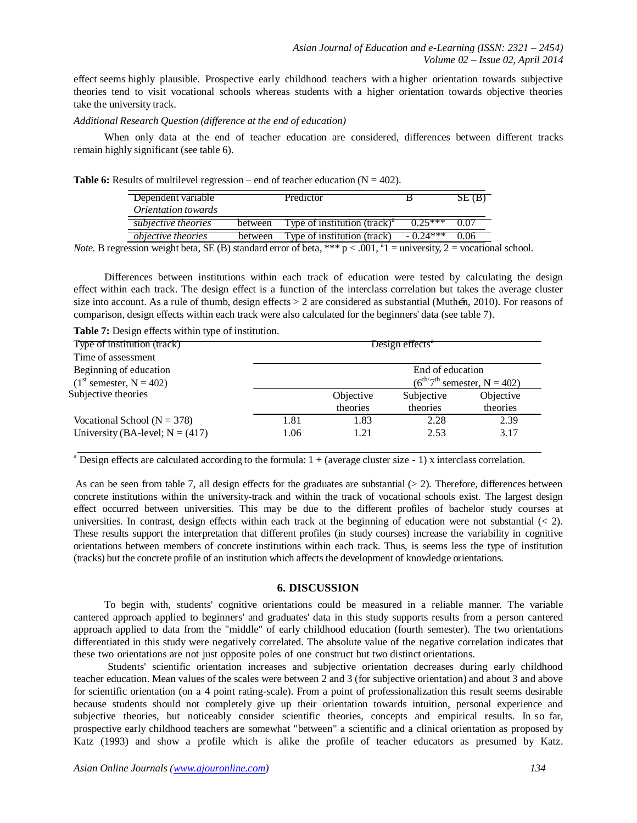effect seems highly plausible. Prospective early childhood teachers with a higher orientation towards subjective theories tend to visit vocational schools whereas students with a higher orientation towards objective theories take the university track.

*Additional Research Question (difference at the end of education)*

When only data at the end of teacher education are considered, differences between different tracks remain highly significant (see table 6).

**Table 6:** Results of multilevel regression – end of teacher education ( $N = 402$ ).

| Dependent variable         |         | Predictor                                |                        | SE(B) |
|----------------------------|---------|------------------------------------------|------------------------|-------|
| <i>Orientation towards</i> |         |                                          |                        |       |
| subjective theories        | between | Type of institution (track) <sup>"</sup> | $0.25***$              |       |
| <i>objective theories</i>  | between | Type of institution (track)              | $-0.74***$             | 0.06  |
|                            |         | $01 - 34$                                | $\cdot$ $\cdot$ $\sim$ |       |

*Note.* B regression weight beta, SE (B) standard error of beta, \*\*\*  $p < .001$ ,  $a_1$  = university, 2 = vocational school.

Differences between institutions within each track of education were tested by calculating the design effect within each track. The design effect is a function of the interclass correlation but takes the average cluster size into account. As a rule of thumb, design effects > 2 are considered as substantial (Muthen, 2010). For reasons of comparison, design effects within each track were also calculated for the beginners' data (see table 7).

**Table 7:** Design effects within type of institution.

| Type of institution (track)         | Design effects <sup>*</sup> |                                                   |            |           |  |
|-------------------------------------|-----------------------------|---------------------------------------------------|------------|-----------|--|
| Time of assessment                  |                             |                                                   |            |           |  |
| Beginning of education              | End of education            |                                                   |            |           |  |
| $(1st$ semester, N = 402)           |                             | $(6^{\text{th}}7^{\text{th}})$ semester, N = 402) |            |           |  |
| Subjective theories                 |                             | Objective                                         | Subjective | Objective |  |
|                                     |                             | theories                                          | theories   | theories  |  |
| Vocational School ( $N = 378$ )     | 1.81                        | 1.83                                              | 2.28       | 2.39      |  |
| University (BA-level; $N = (417)$ ) | 1.06                        | 1.21                                              | 2.53       | 3.17      |  |

<sup>a</sup> Design effects are calculated according to the formula:  $1 + (average cluster size - 1)$  x interclass correlation.

As can be seen from table 7, all design effects for the graduates are substantial  $(> 2)$ . Therefore, differences between concrete institutions within the university-track and within the track of vocational schools exist. The largest design effect occurred between universities. This may be due to the different profiles of bachelor study courses at universities. In contrast, design effects within each track at the beginning of education were not substantial  $\langle \langle 2 \rangle$ . These results support the interpretation that different profiles (in study courses) increase the variability in cognitive orientations between members of concrete institutions within each track. Thus, is seems less the type of institution (tracks) but the concrete profile of an institution which affects the development of knowledge orientations.

#### **6. DISCUSSION**

To begin with, students' cognitive orientations could be measured in a reliable manner. The variable cantered approach applied to beginners' and graduates' data in this study supports results from a person cantered approach applied to data from the "middle" of early childhood education (fourth semester). The two orientations differentiated in this study were negatively correlated. The absolute value of the negative correlation indicates that these two orientations are not just opposite poles of one construct but two distinct orientations.

 Students' scientific orientation increases and subjective orientation decreases during early childhood teacher education. Mean values of the scales were between 2 and 3 (for subjective orientation) and about 3 and above for scientific orientation (on a 4 point rating-scale). From a point of professionalization this result seems desirable because students should not completely give up their orientation towards intuition, personal experience and subjective theories, but noticeably consider scientific theories, concepts and empirical results. In so far, prospective early childhood teachers are somewhat "between" a scientific and a clinical orientation as proposed by Katz (1993) and show a profile which is alike the profile of teacher educators as presumed by Katz.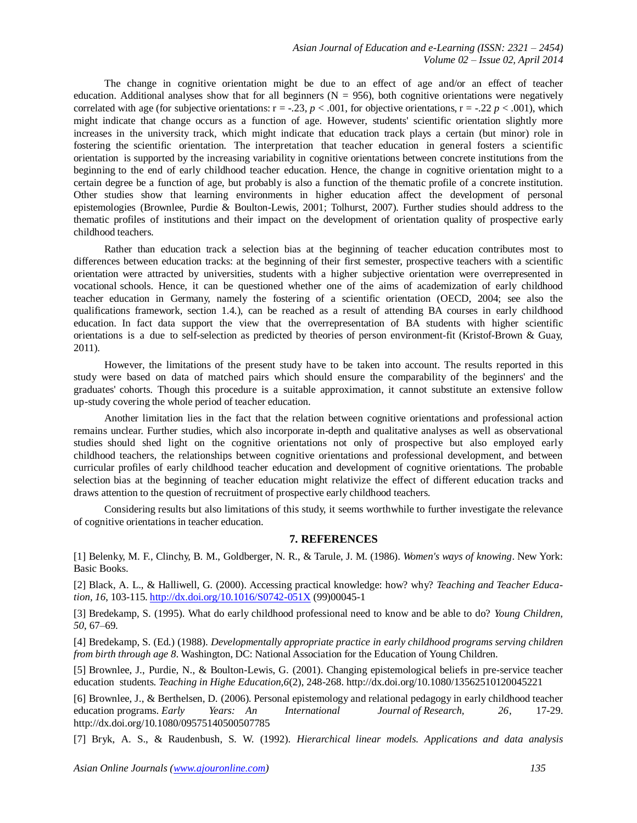The change in cognitive orientation might be due to an effect of age and/or an effect of teacher education. Additional analyses show that for all beginners ( $N = 956$ ), both cognitive orientations were negatively correlated with age (for subjective orientations:  $r = -0.23$ ,  $p < 0.001$ , for objective orientations,  $r = -0.22$ ,  $p < 0.001$ ), which might indicate that change occurs as a function of age. However, students' scientific orientation slightly more increases in the university track, which might indicate that education track plays a certain (but minor) role in fostering the scientific orientation. The interpretation that teacher education in general fosters a scientific orientation is supported by the increasing variability in cognitive orientations between concrete institutions from the beginning to the end of early childhood teacher education. Hence, the change in cognitive orientation might to a certain degree be a function of age, but probably is also a function of the thematic profile of a concrete institution. Other studies show that learning environments in higher education affect the development of personal epistemologies (Brownlee, Purdie & Boulton-Lewis, 2001; Tolhurst, 2007). Further studies should address to the thematic profiles of institutions and their impact on the development of orientation quality of prospective early childhood teachers.

Rather than education track a selection bias at the beginning of teacher education contributes most to differences between education tracks: at the beginning of their first semester, prospective teachers with a scientific orientation were attracted by universities, students with a higher subjective orientation were overrepresented in vocational schools. Hence, it can be questioned whether one of the aims of academization of early childhood teacher education in Germany, namely the fostering of a scientific orientation (OECD, 2004; see also the qualifications framework, section 1.4.), can be reached as a result of attending BA courses in early childhood education. In fact data support the view that the overrepresentation of BA students with higher scientific orientations is a due to self-selection as predicted by theories of person environment-fit (Kristof-Brown & Guay, 2011).

However, the limitations of the present study have to be taken into account. The results reported in this study were based on data of matched pairs which should ensure the comparability of the beginners' and the graduates' cohorts. Though this procedure is a suitable approximation, it cannot substitute an extensive follow up-study covering the whole period of teacher education.

Another limitation lies in the fact that the relation between cognitive orientations and professional action remains unclear. Further studies, which also incorporate in-depth and qualitative analyses as well as observational studies should shed light on the cognitive orientations not only of prospective but also employed early childhood teachers, the relationships between cognitive orientations and professional development, and between curricular profiles of early childhood teacher education and development of cognitive orientations. The probable selection bias at the beginning of teacher education might relativize the effect of different education tracks and draws attention to the question of recruitment of prospective early childhood teachers.

Considering results but also limitations of this study, it seems worthwhile to further investigate the relevance of cognitive orientations in teacher education.

#### **7. REFERENCES**

[1] Belenky, M. F., Clinchy, B. M., Goldberger, N. R., & Tarule, J. M. (1986). *Women's ways of knowing*. New York: Basic Books.

[2] Black, A. L., & Halliwell, G. (2000). Accessing practical knowledge: how? why? *Teaching and Teacher Education, 16*, 103-115. <http://dx.doi.org/10.1016/S0742-051X> (99)00045-1

[3] Bredekamp, S. (1995). What do early childhood professional need to know and be able to do? *Young Children, 50*, 67–69.

[4] Bredekamp, S. (Ed.) (1988). *Developmentally appropriate practice in early childhood programs serving children from birth through age 8*. Washington, DC: National Association for the Education of Young Children.

[5] Brownlee, J., Purdie, N., & Boulton-Lewis, G. (2001). Changing epistemological beliefs in pre-service teacher education students. *Teaching in Highe Education,6*(2), 248-268. [http://dx.doi.org/10.1080/1](http://dx.doi.org/10.1080/)3562510120045221

[6] Brownlee, J., & Berthelsen, D. (2006). Personal epistemology and relational pedagogy in early childhood teacher education programs. *Early Years: An International Journal of Research, 26*, 17-29[.](http://dx.doi.org/10.1080/) [http://dx.doi.org/10.1080/0](http://dx.doi.org/10.1080/)9575140500507785

[7] Bryk, A. S., & Raudenbush, S. W. (1992). *Hierarchical linear models. Applications and data analysis*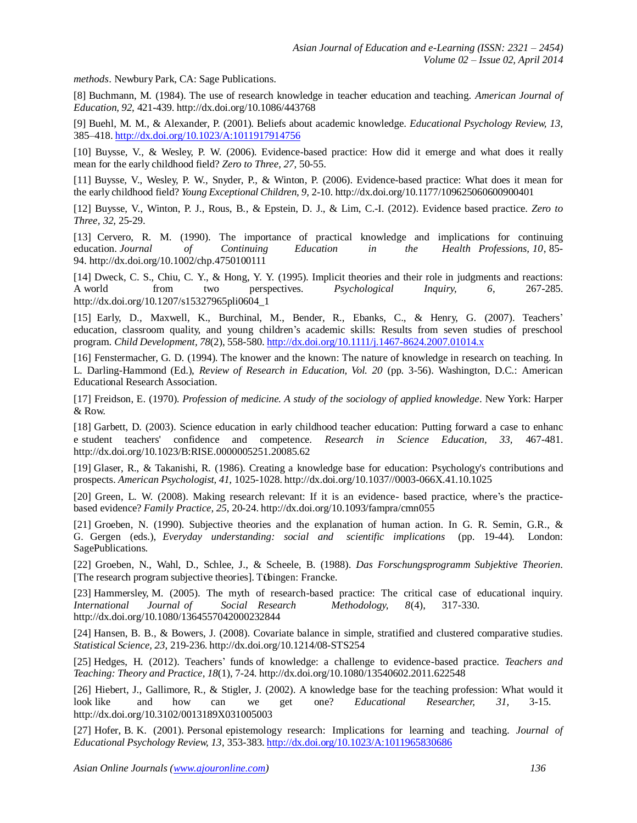*methods*. Newbury Park, CA: Sage Publications.

[8] Buchmann, M. (1984). The use of research knowledge in teacher education and teaching. *American Journal of Education, 92,* 421-439. [http://dx.doi.org/10.1086/4](http://dx.doi.org/10.1086/)43768

[9] Buehl, M. M., & Alexander, P. (2001). Beliefs about academic knowledge. *Educational Psychology Review, 13,* 385–418. <http://dx.doi.org/10.1023/A:1011917914756>

[10] Buysse, V., & Wesley, P. W. (2006). Evidence-based practice: How did it emerge and what does it really mean for the early childhood field? *Zero to Three, 27,* 50-55.

[11] Buysse, V., Wesley, P. W., Snyder, P., & Winton, P. (2006). Evidence-based practice: What does it mean for the early childhood field? *Young Exceptional Children, 9,* 2-10. [http://dx.doi.org/10.1177/1](http://dx.doi.org/10.1177/)09625060600900401

[12] Buysse, V., Winton, P. J., Rous, B., & Epstein, D. J., & Lim, C.-I. (2012). Evidence based practice. *Zero to Three, 32,* 25-29.

[13] Cervero, R. M. (1990). The importance of practical knowledge and implications for continuing education. *Journal of Continuing Education in the Health Professions, 10*, 85- 94. [http://dx.doi.org/10.1002/ch](http://dx.doi.org/10.1002/)p.4750100111

[14] Dweck, C. S., Chiu, C. Y., & Hong, Y. Y. (1995). Implicit theories and their role in judgments and reactions: A world from two perspectives. *Psychological Inquiry, 6*, 267-285[.](http://dx.doi.org/10.1207/) [http://dx.doi.org/10.1207/s](http://dx.doi.org/10.1207/)15327965pli0604\_1

[15] Early, D., Maxwell, K., Burchinal, M., Bender, R., Ebanks, C., & Henry, G. (2007). Teachers' education, classroom quality, and young children's academic skills: Results from seven studies of preschool program. *Child Development, 78*(2), 558-580. <http://dx.doi.org/10.1111/j.1467-8624.2007.01014.x>

[16] Fenstermacher, G. D. (1994). The knower and the known: The nature of knowledge in research on teaching. In L. Darling-Hammond (Ed.), *Review of Research in Education, Vol. 20* (pp. 3-56). Washington, D.C.: American Educational Research Association.

[17] Freidson, E. (1970). *Profession of medicine. A study of the sociology of applied knowledge*. New York: Harper & Row.

[18] Garbett, D. (2003). Science education in early childhood teacher education: Putting forward a case to enhanc e student teachers' confidence and competence. *Research in Science Education, 33,* 467-481[.](http://dx.doi.org/10.1023/) [http://dx.doi.org/10.1023/B](http://dx.doi.org/10.1023/):RISE.0000005251.20085.62

[19] Glaser, R., & Takanishi, R. (1986). Creating a knowledge base for education: Psychology's contributions and prospects. *American Psychologist, 41,* 1025-1028. [http://dx.doi.org/10.1037//0](http://dx.doi.org/10.1037/)003-066X.41.10.1025

[20] Green, L. W. (2008). Making research relevant: If it is an evidence- based practice, where's the practicebased evidence? *Family Practice, 25*, 20-24. [http://dx.doi.org/10.1093/f](http://dx.doi.org/10.1093/)ampra/cmn055

[21] Groeben, N. (1990). Subjective theories and the explanation of human action. In G. R. Semin, G.R., & G. Gergen (eds.), *Everyday understanding: social and scientific implications* (pp. 19-44). London: SagePublications.

[22] Groeben, N., Wahl, D., Schlee, J., & Scheele, B. (1988). *Das Forschungsprogramm Subjektive Theorien*. [The research program subjective theories]. Tübingen: Francke.

[23] Hammersley, M. (2005). The myth of research-based practice: The critical case of educational inquiry. *International Journal of Social Research Methodology, 8*(4), 317-330[.](http://dx.doi.org/10.1080/) [http://dx.doi.org/10.1080/1](http://dx.doi.org/10.1080/)364557042000232844

[24] Hansen, B. B., & Bowers, J. (2008). Covariate balance in simple, stratified and clustered comparative studies. *Statistical Science, 23*, 219-236. [http://dx.doi.org/10.1214/0](http://dx.doi.org/10.1214/)8-STS254

[25] Hedges, H. (2012). Teachers' funds of knowledge: a challenge to evidence-based practice. *Teachers and Teaching: Theory and Practice, 18*(1), 7-24. [http://dx.doi.org/10.1080/1](http://dx.doi.org/10.1080/)3540602.2011.622548

[26] Hiebert, J., Gallimore, R., & Stigler, J. (2002). A knowledge base for the teaching profession: What would it look like and how can we get one? *Educational Researcher, 31,* 3-1[5.](http://dx.doi.org/10.3102/) [http://dx.doi.org/10.3102/0](http://dx.doi.org/10.3102/)013189X031005003

[27] Hofer, B. K. (2001). Personal epistemology research: Implications for learning and teaching. *Journal of Educational Psychology Review, 13*, 353-383. <http://dx.doi.org/10.1023/A:1011965830686>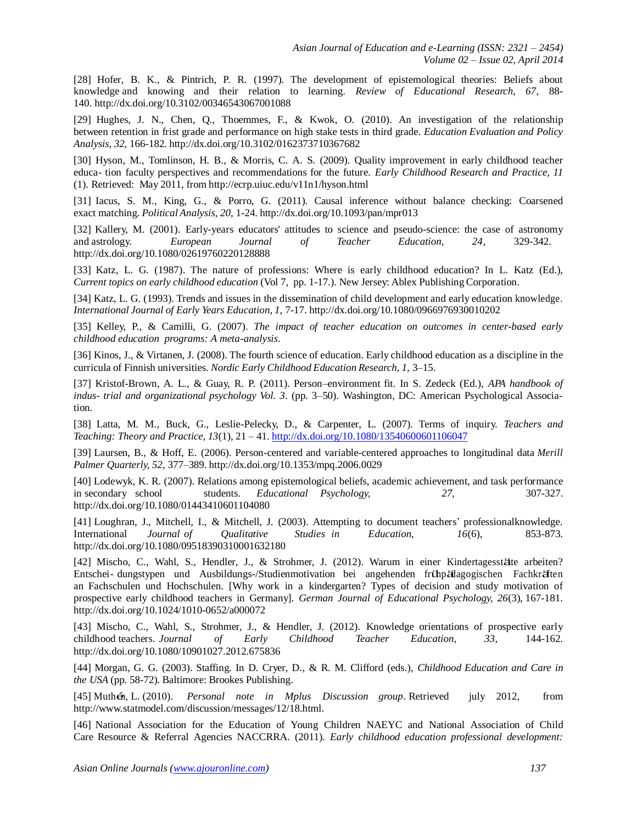[28] Hofer, B. K., & Pintrich, P. R. (1997). The development of epistemological theories: Beliefs about knowledge and knowing and their relation to learning. *Review of Educational Research, 67*, 88- 140. [http://dx.doi.org/10.3102/0](http://dx.doi.org/10.3102/)0346543067001088

[29] Hughes, J. N., Chen, Q., Thoemmes, F., & Kwok, O. (2010). An investigation of the relationship between retention in frist grade and performance on high stake tests in third grade. *Education Evaluation and Policy Analysis, 32,* 166-182. [http://dx.doi.org/10.3102/0](http://dx.doi.org/10.3102/)162373710367682

[30] Hyson, M., Tomlinson, H. B., & Morris, C. A. S. (2009). Quality improvement in early childhood teacher educa- tion faculty perspectives and recommendations for the future. *Early Childhood Research and Practice, 11*  (1). Retrieved: May 2011, from <http://ecrp.uiuc.edu/v11n1/hyson.html>

[31] Iacus, S. M., King, G., & Porro, G. (2011). Causal inference without balance checking: Coarsened exact matching. *Political Analysis, 20,* 1-24. [http://dx.doi.org/10.1093/p](http://dx.doi.org/10.1093/)an/mpr013

[32] Kallery, M. (2001). Early-years educators' attitudes to science and pseudo-science: the case of astronomy and astrology*. European Journal of Teacher Education, 24,* 329-342[.](http://dx.doi.org/10.1080/) [http://dx.doi.org/10.1080/0](http://dx.doi.org/10.1080/)2619760220128888

[33] Katz, L. G. (1987). The nature of professions: Where is early childhood education? In L. Katz (Ed.), *Current topics on early childhood education* (Vol 7, pp. 1-17.). New Jersey: Ablex PublishingCorporation.

[34] Katz, L. G. (1993). Trends and issues in the dissemination of child development and early education knowledge. *International Journal of Early Years Education, 1,* 7-17. [http://dx.doi.org/10.1080/0](http://dx.doi.org/10.1080/)966976930010202

[35] Kelley, P., & Camilli, G. (2007). *The impact of teacher education on outcomes in center-based early childhood education programs: A meta-analysis*.

[36] Kinos, J., & Virtanen, J. (2008). The fourth science of education. Early childhood education as a discipline in the curricula of Finnish universities. *Nordic Early Childhood Education Research, 1,* 3–15.

[37] Kristof-Brown, A. L., & Guay, R. P. (2011). Person–environment fit. In S. Zedeck (Ed.), *APA handbook of indus- trial and organizational psychology Vol. 3*. (pp. 3–50). Washington, DC: American Psychological Association.

[38] Latta, M. M., Buck, G., Leslie-Pelecky, D., & Carpenter, L. (2007). Terms of inquiry. *Teachers and Teaching: Theory and Practice, 13*(1), 21 – 41. <http://dx.doi.org/10.1080/13540600601106047>

[39] Laursen, B., & Hoff, E. (2006). Person-centered and variable-centered approaches to longitudinal data *Merill Palmer Quarterly, 52,* 377–389. [http://dx.doi.org/10.1353/m](http://dx.doi.org/10.1353/)pq.2006.0029

[40] Lodewyk, K. R. (2007). Relations among epistemological beliefs, academic achievement, and task performance in secondary school students. *Educational Psychology, 27,* 307-327[.](http://dx.doi.org/10.1080/) [http://dx.doi.org/10.1080/0](http://dx.doi.org/10.1080/)1443410601104080

[41] Loughran, J., Mitchell, I., & Mitchell, J. (2003). Attempting to document teachers' professionalknowledge. International *Journal of Qualitative Studies in Education, 16*(6), 853-873[.](http://dx.doi.org/10.1080/) [http://dx.doi.org/10.1080/0](http://dx.doi.org/10.1080/)9518390310001632180

[42] Mischo, C., Wahl, S., Hendler, J., & Strohmer, J. (2012). Warum in einer Kindertagesstätte arbeiten? Entschei- dungstypen und Ausbildungs-/Studienmotivation bei angehenden frühpädagogischen Fachkräften an Fachschulen und Hochschulen. [Why work in a kindergarten? Types of decision and study motivation of prospective early childhood teachers in Germany]. *German Journal of Educational Psychology, 26*(3), 167-181. [http://dx.doi.org/10.1024/1](http://dx.doi.org/10.1024/)010-0652/a000072

[43] Mischo, C., Wahl, S., Strohmer, J., & Hendler, J. (2012). Knowledge orientations of prospective early childhood teachers. *Journal of Early Childhood Teacher Education, 33*, 144-162[.](http://dx.doi.org/10.1080/) [http://dx.doi.org/10.1080/1](http://dx.doi.org/10.1080/)0901027.2012.675836

[44] Morgan, G. G. (2003). Staffing. In D. Cryer, D., & R. M. Clifford (eds.), *Childhood Education and Care in the USA* (pp. 58-72). Baltimore: Brookes Publishing.

[45] Muthén, L. (2010). *Personal note in Mplus Discussion group*. Retrieved july 2012, fro[m](http://www.statmodel.com/discussion/messages/12/18.html) [http://www.statmodel.com/discussion/messages/12/18.html.](http://www.statmodel.com/discussion/messages/12/18.html)

[46] National Association for the Education of Young Children NAEYC and National Association of Child Care Resource & Referral Agencies NACCRRA. (2011). *Early childhood education professional development:*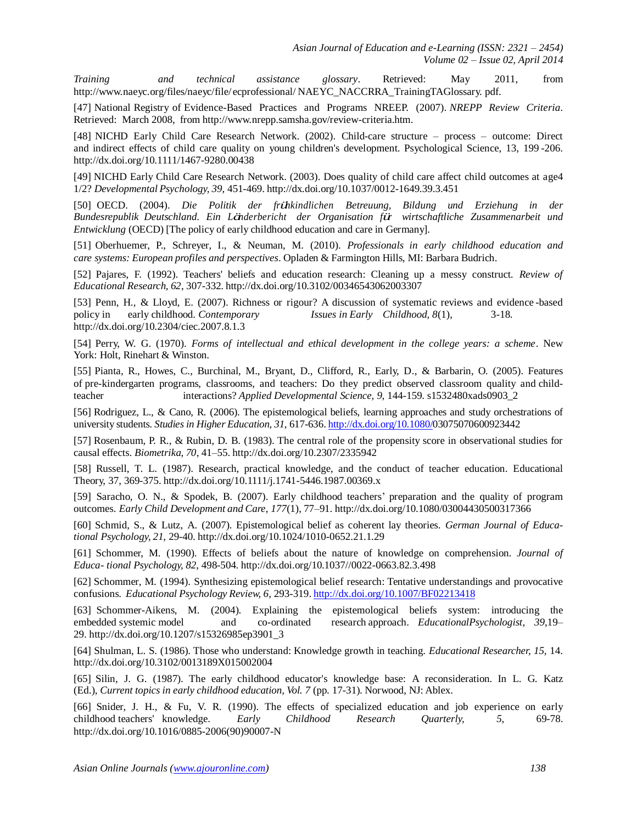*Training and technical assistance glossary*. Retrieved: May 2011, fro[m](http://www.naeyc.org/files/naeyc/file/) <http://www.naeyc.org/files/naeyc/file/> ecprofessional/ NAEYC\_NACCRRA\_TrainingTAGlossary. pdf.

[47] National Registry of Evidence-Based Practices and Programs NREEP. (2007). *NREPP Review Criteria*. Retrieved: March 2008, from [http://www.nrepp.samsha.gov/review-criteria.htm.](http://www.nrepp.samsha.gov/review-criteria.htm)

[48] NICHD Early Child Care Research Network. (2002). Child-care structure – process – outcome: Direct and indirect effects of child care quality on young children's development. Psychological Science, 13, 199 -206[.](http://dx.doi.org/10.1111/) [http://dx.doi.org/10.1111/1](http://dx.doi.org/10.1111/)467-9280.00438

[49] NICHD Early Child Care Research Network. (2003). Does quality of child care affect child outcomes at age4 1/2? *Developmental Psychology, 39,* 451-469. [http://dx.doi.org/10.1037/0](http://dx.doi.org/10.1037/)012-1649.39.3.451

[50] OECD. (2004). *Die Politik der frühkindlichen Betreuung, Bildung und Erziehung in der Bundesrepublik Deutschland. Ein Länderbericht der Organisation für wirtschaftliche Zusammenarbeit und Entwicklung* (OECD) [The policy of early childhood education and care in Germany].

[51] Oberhuemer, P., Schreyer, I., & Neuman, M. (2010). *Professionals in early childhood education and care systems: European profiles and perspectives*. Opladen & Farmington Hills, MI: Barbara Budrich.

[52] Pajares, F. (1992). Teachers' beliefs and education research: Cleaning up a messy construct. *Review of Educational Research, 62*, 307-332. [http://dx.doi.org/10.3102/0](http://dx.doi.org/10.3102/)0346543062003307

[53] Penn, H., & Lloyd, E. (2007). Richness or rigour? A discussion of systematic reviews and evidence -based policy in early childhood. *Contemporary Issues in Early Childhood, 8*(1), 3-1[8.](http://dx.doi.org/10.2304/) [http://dx.doi.org/10.2304/ciec](http://dx.doi.org/10.2304/).2007.8.1.3

[54] Perry, W. G. (1970). *Forms of intellectual and ethical development in the college years: a scheme*. New York: Holt, Rinehart & Winston.

[55] Pianta, R., Howes, C., Burchinal, M., Bryant, D., Clifford, R., Early, D., & Barbarin, O. (2005). Features of pre-kindergarten programs, classrooms, and teachers: Do they predict observed classroom quality and childteacher interactions? *Applied Developmental Science, 9,* 144-159. s1532480xads0903\_2

[56] Rodriguez, L., & Cano, R. (2006). The epistemological beliefs, learning approaches and study orchestrations of university students. *Studies in Higher Education, 31*, 617-636. [http://dx.doi.org/10.1080/0](http://dx.doi.org/10.1080/)3075070600923442

[57] Rosenbaum, P. R., & Rubin, D. B. (1983). The central role of the propensity score in observational studies for causal effects. *Biometrika, 70*, 41–55. [http://dx.doi.org/10.2307/2](http://dx.doi.org/10.2307/)335942

[58] Russell, T. L. (1987). Research, practical knowledge, and the conduct of teacher education. Educational Theory, 37, 369-375. [http://dx.doi.org/10.1111/j](http://dx.doi.org/10.1111/).1741-5446.1987.00369.x

[59] Saracho, O. N., & Spodek, B. (2007). Early childhood teachers' preparation and the quality of program outcomes. *Early Child Development and Care, 177*(1), 77–91. [http://dx.doi.org/10.1080/0](http://dx.doi.org/10.1080/)3004430500317366

[60] Schmid, S., & Lutz, A. (2007). Epistemological belief as coherent lay theories. *German Journal of Educational Psychology, 21,* 29-40. [http://dx.doi.org/10.1024/1](http://dx.doi.org/10.1024/)010-0652.21.1.29

[61] Schommer, M. (1990). Effects of beliefs about the nature of knowledge on comprehension. *Journal of Educa- tional Psychology, 82*, 498-504. [http://dx.doi.org/10.1037//0](http://dx.doi.org/10.1037/)022-0663.82.3.498

[62] Schommer, M. (1994). Synthesizing epistemological belief research: Tentative understandings and provocative confusions. *Educational Psychology Review, 6,* 293-319. <http://dx.doi.org/10.1007/BF02213418>

[63] Schommer-Aikens, M. (2004). Explaining the epistemological beliefs system: introducing the embedded systemic model and co-ordinated research approach. *EducationalPsychologist, 39*,19– 29. [http://dx.doi.org/10.1207/s](http://dx.doi.org/10.1207/)15326985ep3901\_3

[64] Shulman, L. S. (1986). Those who understand: Knowledge growth in teaching. *Educational Researcher, 15,* 14[.](http://dx.doi.org/10.3102/) [http://dx.doi.org/10.3102/0](http://dx.doi.org/10.3102/)013189X015002004

[65] Silin, J. G. (1987). The early childhood educator's knowledge base: A reconsideration. In L. G. Katz (Ed.), *Current topics in early childhood education, Vol. 7* (pp. 17-31). Norwood, NJ: Ablex.

[66] Snider, J. H., & Fu, V. R. (1990). The effects of specialized education and job experience on early childhood teachers' knowledge. *Early Childhood Research Quarterly, 5,* 69-78[.](http://dx.doi.org/10.1016/) [http://dx.doi.org/10.1016/0](http://dx.doi.org/10.1016/)885-2006(90)90007-N